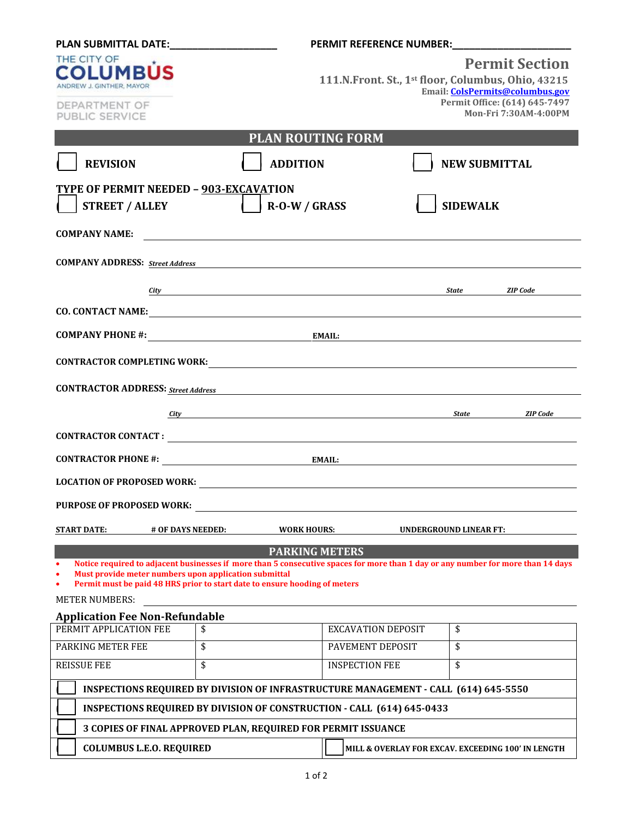|                                                                                                                                                                                                                               |                                                                                                                     | PERMIT REFERENCE NUMBER: NORTH PERMIT REFERENCE                                                                        |                                                                                                                                                 |  |
|-------------------------------------------------------------------------------------------------------------------------------------------------------------------------------------------------------------------------------|---------------------------------------------------------------------------------------------------------------------|------------------------------------------------------------------------------------------------------------------------|-------------------------------------------------------------------------------------------------------------------------------------------------|--|
| THE CITY OF<br><b>COLUMBUS</b><br>ANDREW J. GINTHER, MAYOR                                                                                                                                                                    |                                                                                                                     |                                                                                                                        | <b>Permit Section</b><br>111.N.Front. St., 1st floor, Columbus, Ohio, 43215<br>Email: ColsPermits@columbus.gov<br>Permit Office: (614) 645-7497 |  |
| DEPARTMENT OF<br>PUBLIC SERVICE                                                                                                                                                                                               |                                                                                                                     |                                                                                                                        | Mon-Fri 7:30AM-4:00PM                                                                                                                           |  |
| <b>PLAN ROUTING FORM</b>                                                                                                                                                                                                      |                                                                                                                     |                                                                                                                        |                                                                                                                                                 |  |
| <b>REVISION</b>                                                                                                                                                                                                               | <b>ADDITION</b>                                                                                                     |                                                                                                                        | <b>NEW SUBMITTAL</b>                                                                                                                            |  |
|                                                                                                                                                                                                                               |                                                                                                                     |                                                                                                                        |                                                                                                                                                 |  |
| TYPE OF PERMIT NEEDED - 903-EXCAVATION                                                                                                                                                                                        |                                                                                                                     |                                                                                                                        |                                                                                                                                                 |  |
| <b>STREET / ALLEY</b>                                                                                                                                                                                                         | $\vert$ R-O-W / GRASS                                                                                               |                                                                                                                        | <b>SIDEWALK</b>                                                                                                                                 |  |
| <b>COMPANY NAME:</b>                                                                                                                                                                                                          |                                                                                                                     |                                                                                                                        |                                                                                                                                                 |  |
| <b>COMPANY ADDRESS:</b> Street Address                                                                                                                                                                                        |                                                                                                                     | <u> 1989 - Johann Stein, marwolaethau a bhann an t-Albann an t-Albann an t-Albann an t-Albann an t-Albann an t-Alb</u> |                                                                                                                                                 |  |
|                                                                                                                                                                                                                               | <u>City</u>                                                                                                         |                                                                                                                        | State ZIP Code                                                                                                                                  |  |
|                                                                                                                                                                                                                               |                                                                                                                     |                                                                                                                        |                                                                                                                                                 |  |
|                                                                                                                                                                                                                               |                                                                                                                     |                                                                                                                        |                                                                                                                                                 |  |
| <b>COMPANY PHONE #:</b> EMAIL:                                                                                                                                                                                                |                                                                                                                     |                                                                                                                        |                                                                                                                                                 |  |
| CONTRACTOR COMPLETING WORK: University of the contract of the contract of the contract of the contract of the contract of the contract of the contract of the contract of the contract of the contract of the contract of the |                                                                                                                     |                                                                                                                        |                                                                                                                                                 |  |
| <b>CONTRACTOR ADDRESS:</b> Street Address<br><u> 1989 - Johann Stoff, deutscher Stoffen und der Stoffen und der Stoffen und der Stoffen und der Stoffen und der</u>                                                           |                                                                                                                     |                                                                                                                        |                                                                                                                                                 |  |
|                                                                                                                                                                                                                               | <u>City</u> State State                                                                                             |                                                                                                                        | <b>ZIP</b> Code                                                                                                                                 |  |
|                                                                                                                                                                                                                               |                                                                                                                     |                                                                                                                        |                                                                                                                                                 |  |
|                                                                                                                                                                                                                               |                                                                                                                     |                                                                                                                        |                                                                                                                                                 |  |
|                                                                                                                                                                                                                               |                                                                                                                     |                                                                                                                        |                                                                                                                                                 |  |
| <b>PURPOSE OF PROPOSED WORK:</b>                                                                                                                                                                                              |                                                                                                                     |                                                                                                                        |                                                                                                                                                 |  |
| <b>START DATE:</b><br># OF DAYS NEEDED:<br><b>WORK HOURS:</b><br><b>UNDERGROUND LINEAR FT:</b>                                                                                                                                |                                                                                                                     |                                                                                                                        |                                                                                                                                                 |  |
| <b>PARKING METERS</b>                                                                                                                                                                                                         |                                                                                                                     |                                                                                                                        |                                                                                                                                                 |  |
| Notice required to adjacent businesses if more than 5 consecutive spaces for more than 1 day or any number for more than 14 days<br>Must provide meter numbers upon application submittal                                     |                                                                                                                     |                                                                                                                        |                                                                                                                                                 |  |
| Permit must be paid 48 HRS prior to start date to ensure hooding of meters                                                                                                                                                    |                                                                                                                     |                                                                                                                        |                                                                                                                                                 |  |
| <b>METER NUMBERS:</b>                                                                                                                                                                                                         |                                                                                                                     |                                                                                                                        |                                                                                                                                                 |  |
| <b>Application Fee Non-Refundable</b><br>PERMIT APPLICATION FEE                                                                                                                                                               | \$                                                                                                                  | <b>EXCAVATION DEPOSIT</b>                                                                                              | \$                                                                                                                                              |  |
| PARKING METER FEE                                                                                                                                                                                                             | \$                                                                                                                  | PAVEMENT DEPOSIT                                                                                                       | \$                                                                                                                                              |  |
| <b>REISSUE FEE</b>                                                                                                                                                                                                            | \$                                                                                                                  | <b>INSPECTION FEE</b>                                                                                                  | \$                                                                                                                                              |  |
|                                                                                                                                                                                                                               |                                                                                                                     |                                                                                                                        |                                                                                                                                                 |  |
| <b>INSPECTIONS REQUIRED BY DIVISION OF INFRASTRUCTURE MANAGEMENT - CALL (614) 645-5550</b>                                                                                                                                    |                                                                                                                     |                                                                                                                        |                                                                                                                                                 |  |
| <b>INSPECTIONS REQUIRED BY DIVISION OF CONSTRUCTION - CALL (614) 645-0433</b>                                                                                                                                                 |                                                                                                                     |                                                                                                                        |                                                                                                                                                 |  |
|                                                                                                                                                                                                                               | 3 COPIES OF FINAL APPROVED PLAN, REQUIRED FOR PERMIT ISSUANCE<br>MILL & OVERLAY FOR EXCAV. EXCEEDING 100' IN LENGTH |                                                                                                                        |                                                                                                                                                 |  |
| <b>COLUMBUS L.E.O. REQUIRED</b>                                                                                                                                                                                               |                                                                                                                     |                                                                                                                        |                                                                                                                                                 |  |